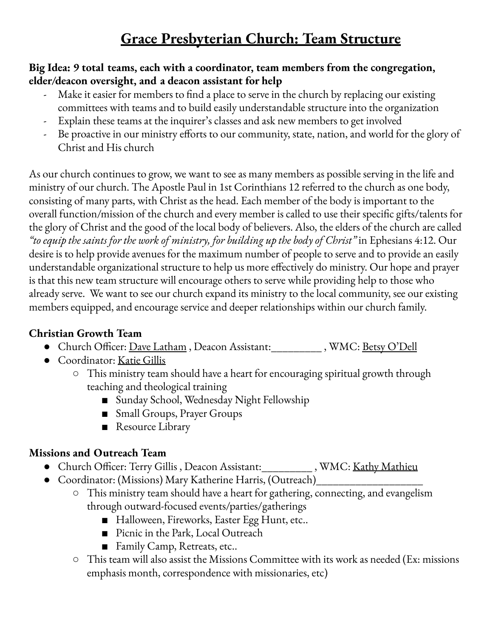# **Grace Presbyterian Church: Team Structure**

#### **Big Idea: 9 total teams, each with a coordinator, team members from the congregation, elder/deacon oversight, and a deacon assistant for help**

- Make it easier for members to find a place to serve in the church by replacing our existing committees with teams and to build easily understandable structure into the organization
- Explain these teams at the inquirer's classes and ask new members to get involved
- Be proactive in our ministry efforts to our community, state, nation, and world for the glory of Christ and His church

As our church continues to grow, we want to see as many members as possible serving in the life and ministry of our church. The Apostle Paul in 1st Corinthians 12 referred to the church as one body, consisting of many parts, with Christ as the head. Each member of the body is important to the overall function/mission of the church and every member is called to use their specific gifts/talents for the glory of Christ and the good of the local body of believers. Also, the elders of the church are called *"to equip the saints for the work of ministry, for building up the body of Christ"* in Ephesians 4:12. Our desire is to help provide avenues for the maximum number of people to serve and to provide an easily understandable organizational structure to help us more effectively do ministry. Our hope and prayer is that this new team structure will encourage others to serve while providing help to those who already serve. We want to see our church expand its ministry to the local community, see our existing members equipped, and encourage service and deeper relationships within our church family.

### **Christian Growth Team**

- Church Officer: <u>Dave Latham</u> , Deacon Assistant:\_\_\_\_\_\_\_\_\_\_\_ , WMC: <u>Betsy O'Dell</u>
- Coordinator: Katie Gillis
	- This ministry team should have a heart for encouraging spiritual growth through teaching and theological training
		- Sunday School, Wednesday Night Fellowship
		- Small Groups, Prayer Groups
		- Resource Library

### **Missions and Outreach Team**

- Church Officer: Terry Gillis, Deacon Assistant: WMC: Kathy Mathieu
- Coordinator: (Missions) Mary Katherine Harris, (Outreach)
	- This ministry team should have a heart for gathering, connecting, and evangelism through outward-focused events/parties/gatherings
		- Halloween, Fireworks, Easter Egg Hunt, etc..
		- Picnic in the Park, Local Outreach
		- Family Camp, Retreats, etc..
	- $\circ$  This team will also assist the Missions Committee with its work as needed (Ex: missions emphasis month, correspondence with missionaries, etc)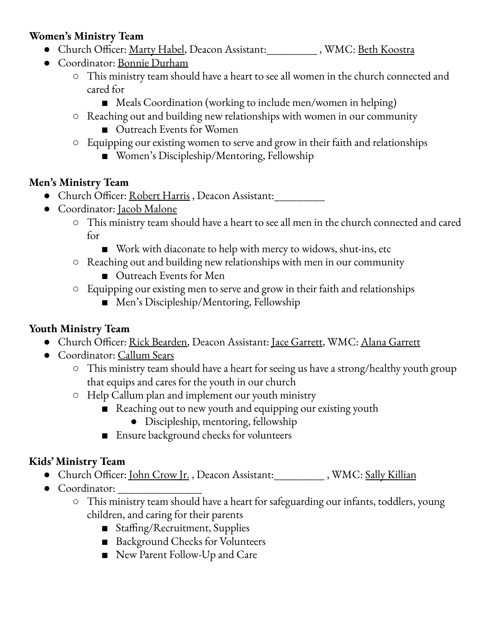### **Women's Ministry Team**

- Church Officer: <u>Marty Habel,</u> Deacon Assistant:\_\_\_\_\_\_\_\_\_\_\_, WMC: <u>Beth Koostra</u>
- Coordinator: Bonnie Durham
	- This ministry team should have a heart to see all women in the church connected and cared for
		- Meals Coordination (working to include men/women in helping)
	- Reaching out and building new relationships with women in our community
		- Outreach Events for Women
	- Equipping our existing women to serve and grow in their faith and relationships
		- Women's Discipleship/Mentoring, Fellowship

### **Men's Ministry Team**

- Church Officer: Robert Harris, Deacon Assistant:\_\_\_\_\_\_\_\_
- Coordinator: Jacob Malone
	- This ministry team should have a heart to see all men in the church connected and cared for
		- Work with diaconate to help with mercy to widows, shut-ins, etc
	- Reaching out and building new relationships with men in our community
		- Outreach Events for Men
	- Equipping our existing men to serve and grow in their faith and relationships
		- Men's Discipleship/Mentoring, Fellowship

## **Youth Ministry Team**

- Church Officer: Rick Bearden, Deacon Assistant: Jace Garrett, WMC: Alana Garrett
- Coordinator: Callum Sears
	- This ministry team should have a heart for seeing us have a strong/healthy youth group that equips and cares for the youth in our church
	- Help Callum plan and implement our youth ministry
		- Reaching out to new youth and equipping our existing youth
			- Discipleship, mentoring, fellowship
		- Ensure background checks for volunteers

## **Kids' Ministry Team**

- Church Officer: John Crow Jr., Deacon Assistant:\_\_\_\_\_\_\_\_\_\_, WMC: Sally Killian
- $\bullet$  Coordinator:
	- This ministry team should have a heart for safeguarding our infants, toddlers, young children, and caring for their parents
		- Staffing/Recruitment, Supplies
		- Background Checks for Volunteers
		- New Parent Follow-Up and Care